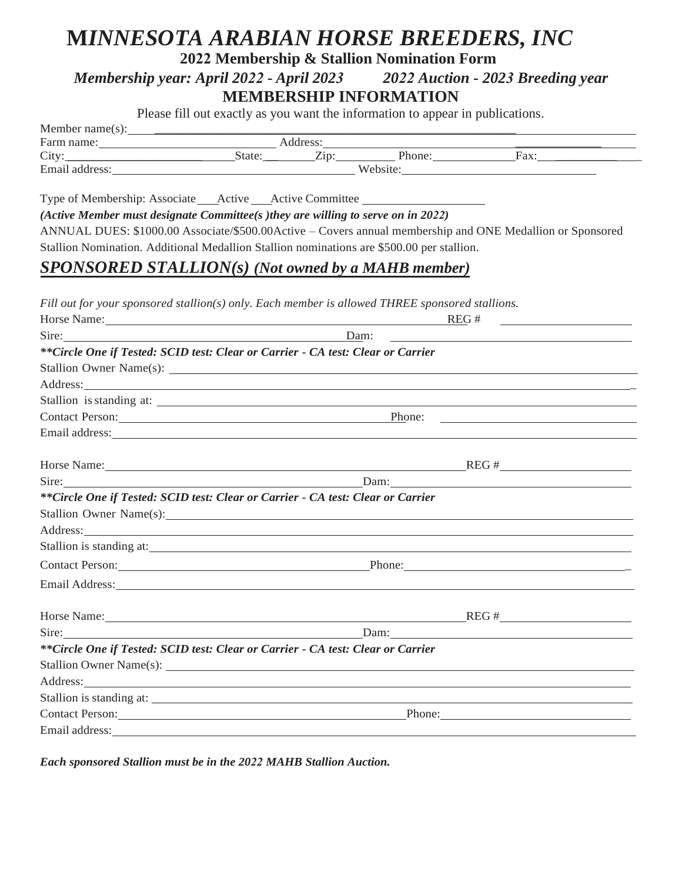## **M***INNESOTA ARABIAN HORSE BREEDERS, INC*

**2022 Membership & Stallion Nomination Form**

#### *Membership year: April 2022 - April 2023 2022 Auction - 2023 Breeding year* **MEMBERSHIP INFORMATION**

Please fill out exactly as you want the information to appear in publications.

| Member name(s): |       |                      |          |      |  |
|-----------------|-------|----------------------|----------|------|--|
| Farm name:      |       | Address <sup>.</sup> |          |      |  |
| City            | State | — .<br>$\angle$ ID.  | Phone:   | Fax: |  |
| Email address:  |       |                      | Website: |      |  |

Type of Membership: Associate \_\_\_\_\_ Active \_\_\_\_\_ Active Committee \_\_\_\_\_\_

*(Active Member must designate Committee(s )they are willing to serve on in 2022)*

ANNUAL DUES: \$1000.00 Associate/\$500.00Active – Covers annual membership and ONE Medallion or Sponsored Stallion Nomination. Additional Medallion Stallion nominations are \$500.00 per stallion.

### *SPONSORED STALLION(s) (Not owned by a MAHB member)*

*Fill out for your sponsored stallion(s) only. Each member is allowed THREE sponsored stallions.*

| Horse Name: Name:                                                                                                                                                                                                              | REG#                                                                                                                                                                                                                           |  |  |
|--------------------------------------------------------------------------------------------------------------------------------------------------------------------------------------------------------------------------------|--------------------------------------------------------------------------------------------------------------------------------------------------------------------------------------------------------------------------------|--|--|
| Sire: Dam:                                                                                                                                                                                                                     |                                                                                                                                                                                                                                |  |  |
| **Circle One if Tested: SCID test: Clear or Carrier - CA test: Clear or Carrier                                                                                                                                                |                                                                                                                                                                                                                                |  |  |
|                                                                                                                                                                                                                                |                                                                                                                                                                                                                                |  |  |
|                                                                                                                                                                                                                                | Address: Andreas Address: Address: Address: Address: Address: Address: Address: Address: Address: Address: Address: Address: Address: Address: Address: Address: Address: Address: Address: Address: Address: Address: Address |  |  |
|                                                                                                                                                                                                                                |                                                                                                                                                                                                                                |  |  |
|                                                                                                                                                                                                                                | Contact Person: Phone:                                                                                                                                                                                                         |  |  |
|                                                                                                                                                                                                                                |                                                                                                                                                                                                                                |  |  |
|                                                                                                                                                                                                                                | Horse Name: REG #                                                                                                                                                                                                              |  |  |
|                                                                                                                                                                                                                                | Sire: Dam: Dam: Dam:                                                                                                                                                                                                           |  |  |
| **Circle One if Tested: SCID test: Clear or Carrier - CA test: Clear or Carrier                                                                                                                                                |                                                                                                                                                                                                                                |  |  |
|                                                                                                                                                                                                                                |                                                                                                                                                                                                                                |  |  |
|                                                                                                                                                                                                                                | Address: Andreas Address: Address: Address: Address: Address: Address: Address: Address: Address: Address: Address: Address: Address: Address: Address: Address: Address: Address: Address: Address: Address: Address: Address |  |  |
|                                                                                                                                                                                                                                | Stallion is standing at:                                                                                                                                                                                                       |  |  |
|                                                                                                                                                                                                                                | Contact Person: Phone: Phone: Phone: Phone: Phone: Phone: Phone: Phone: Phone: Phone: Phone: Phone: Phone: Phone: Phone: Phone: Phone: Phone: Phone: Phone: Phone: Phone: Phone: Phone: Phone: Phone: Phone: Phone: Phone: Pho |  |  |
| Email Address: No. 2014 19:30 No. 2014 19:30 No. 2014 19:30 No. 2014 19:30 No. 2014 19:30 No. 2014 19:30 No. 2014 19:30 No. 2014 19:30 No. 2014 19:30 No. 2014 19:30 No. 2014 19:30 No. 2014 19:30 No. 2014 19:30 No. 2014 19: |                                                                                                                                                                                                                                |  |  |
|                                                                                                                                                                                                                                | Horse Name: REG #                                                                                                                                                                                                              |  |  |
| Sire: $\qquad \qquad$                                                                                                                                                                                                          | Dam: $\qquad \qquad$                                                                                                                                                                                                           |  |  |
| **Circle One if Tested: SCID test: Clear or Carrier - CA test: Clear or Carrier                                                                                                                                                |                                                                                                                                                                                                                                |  |  |
|                                                                                                                                                                                                                                |                                                                                                                                                                                                                                |  |  |
|                                                                                                                                                                                                                                | Address: Andreas Address: Address: Address: Address: Address: Address: Address: Address: Address: Address: Address: Address: Address: Address: Address: Address: Address: Address: Address: Address: Address: Address: Address |  |  |
|                                                                                                                                                                                                                                |                                                                                                                                                                                                                                |  |  |
|                                                                                                                                                                                                                                | Contact Person: Phone: Phone: Phone: Phone: Phone: Phone: Phone: Phone: Phone: Phone: Phone: Phone: Phone: Phone: Phone: Phone: Phone: Phone: Phone: Phone: Phone: Phone: Phone: Phone: Phone: Phone: Phone: Phone: Phone: Pho |  |  |
|                                                                                                                                                                                                                                |                                                                                                                                                                                                                                |  |  |

*Each sponsored Stallion must be in the 2022 MAHB Stallion Auction.*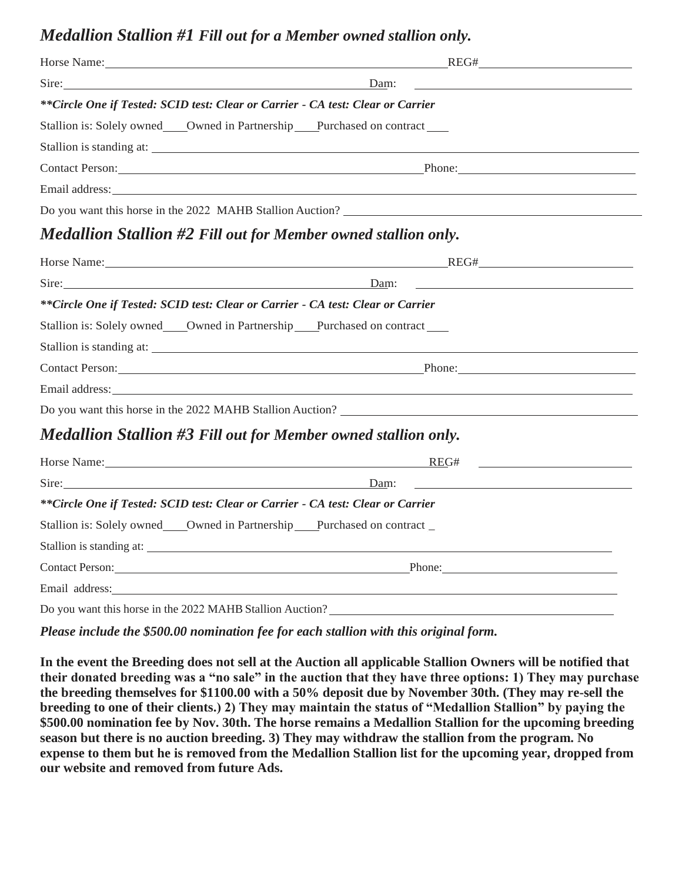#### *Medallion Stallion #1 Fill out for a Member owned stallion only.*

|                                                                                                                                                                                                                                | Horse Name: REG#                                                                                                                                                                                                               |  |  |  |
|--------------------------------------------------------------------------------------------------------------------------------------------------------------------------------------------------------------------------------|--------------------------------------------------------------------------------------------------------------------------------------------------------------------------------------------------------------------------------|--|--|--|
| Sire: Since the contract of the contract of the contract of the contract of the contract of the contract of the contract of the contract of the contract of the contract of the contract of the contract of the contract of th | Dam:                                                                                                                                                                                                                           |  |  |  |
| **Circle One if Tested: SCID test: Clear or Carrier - CA test: Clear or Carrier                                                                                                                                                |                                                                                                                                                                                                                                |  |  |  |
| Stallion is: Solely owned _____Owned in Partnership _____Purchased on contract ______                                                                                                                                          |                                                                                                                                                                                                                                |  |  |  |
|                                                                                                                                                                                                                                |                                                                                                                                                                                                                                |  |  |  |
|                                                                                                                                                                                                                                | Contact Person: Phone: Phone: Phone: Phone: Phone: Phone: Phone: Phone: Phone: Phone: Phone: Phone: Phone: Phone: Phone: Phone: Phone: Phone: Phone: Phone: Phone: Phone: Phone: Phone: Phone: Phone: Phone: Phone: Phone: Pho |  |  |  |
|                                                                                                                                                                                                                                |                                                                                                                                                                                                                                |  |  |  |
|                                                                                                                                                                                                                                | Do you want this horse in the 2022 MAHB Stallion Auction?                                                                                                                                                                      |  |  |  |
| <b>Medallion Stallion #2 Fill out for Member owned stallion only.</b>                                                                                                                                                          |                                                                                                                                                                                                                                |  |  |  |
|                                                                                                                                                                                                                                | Horse Name: Name: Name: Name: Name: Name: Name: Name: Name: Name: Name: Name: Name: Name: Name: Name: Name: Name: Name: Name: Name: Name: Name: Name: Name: Name: Name: Name: Name: Name: Name: Name: Name: Name: Name: Name:  |  |  |  |
| Sire: Dam:                                                                                                                                                                                                                     |                                                                                                                                                                                                                                |  |  |  |
| **Circle One if Tested: SCID test: Clear or Carrier - CA test: Clear or Carrier                                                                                                                                                |                                                                                                                                                                                                                                |  |  |  |
| Stallion is: Solely owned ____Owned in Partnership ____Purchased on contract ____                                                                                                                                              |                                                                                                                                                                                                                                |  |  |  |
|                                                                                                                                                                                                                                |                                                                                                                                                                                                                                |  |  |  |
|                                                                                                                                                                                                                                | Contact Person: Phone: Phone: Phone: Phone: Phone: Phone: Phone: Phone: Phone: Phone: Phone: Phone: Phone: Phone: Phone: Phone: Phone: Phone: Phone: Phone: Phone: Phone: Phone: Phone: Phone: Phone: Phone: Phone: Phone: Pho |  |  |  |
|                                                                                                                                                                                                                                |                                                                                                                                                                                                                                |  |  |  |
|                                                                                                                                                                                                                                | Do you want this horse in the 2022 MAHB Stallion Auction?                                                                                                                                                                      |  |  |  |
| <b>Medallion Stallion #3 Fill out for Member owned stallion only.</b>                                                                                                                                                          |                                                                                                                                                                                                                                |  |  |  |
| Horse Name: 1988 Contract Contract Contract Contract Contract Contract Contract Contract Contract Contract Contract Contract Contract Contract Contract Contract Contract Contract Contract Contract Contract Contract Contrac | REG#                                                                                                                                                                                                                           |  |  |  |
| Sire:                                                                                                                                                                                                                          | Dam:                                                                                                                                                                                                                           |  |  |  |
| **Circle One if Tested: SCID test: Clear or Carrier - CA test: Clear or Carrier                                                                                                                                                |                                                                                                                                                                                                                                |  |  |  |
| Stallion is: Solely owned___Owned in Partnership___Purchased on contract_                                                                                                                                                      |                                                                                                                                                                                                                                |  |  |  |
|                                                                                                                                                                                                                                |                                                                                                                                                                                                                                |  |  |  |
| Contact Person: 2008 and 2008 and 2008 and 2008 and 2008 and 2008 and 2008 and 2008 and 2008 and 2008 and 2008 and 2008 and 2008 and 2008 and 2008 and 2008 and 2008 and 2008 and 2008 and 2008 and 2008 and 2008 and 2008 and | Phone:                                                                                                                                                                                                                         |  |  |  |
| Email address: No. 2016. The Contract of the Contract of the Contract of the Contract of the Contract of the Contract of the Contract of the Contract of the Contract of the Contract of the Contract of the Contract of the C |                                                                                                                                                                                                                                |  |  |  |
|                                                                                                                                                                                                                                |                                                                                                                                                                                                                                |  |  |  |

Do you want this horse in the 2022 MAHB Stallion Auction?

*Please include the \$500.00 nomination fee for each stallion with this original form.*

**In the event the Breeding does not sell at the Auction all applicable Stallion Owners will be notified that their donated breeding was a "no sale" in the auction that they have three options: 1) They may purchase the breeding themselves for \$1100.00 with a 50% deposit due by November 30th. (They may re-sell the breeding to one of their clients.) 2) They may maintain the status of "Medallion Stallion" by paying the \$500.00 nomination fee by Nov. 30th. The horse remains a Medallion Stallion for the upcoming breeding season but there is no auction breeding. 3) They may withdraw the stallion from the program. No expense to them but he is removed from the Medallion Stallion list for the upcoming year, dropped from our website and removed from future Ads.**